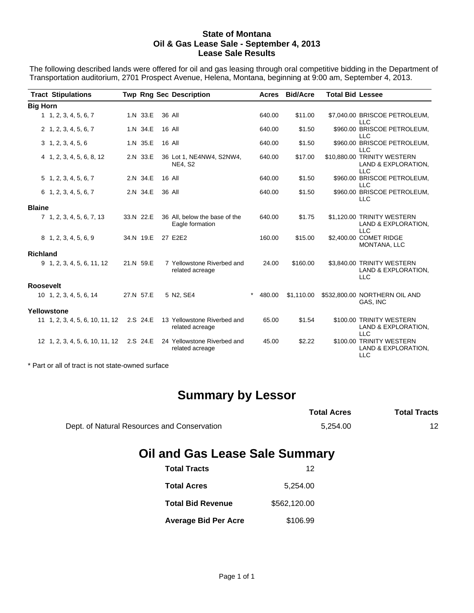## **State of Montana Oil & Gas Lease Sale - September 4, 2013 Lease Sale Results**

The following described lands were offered for oil and gas leasing through oral competitive bidding in the Department of Transportation auditorium, 2701 Prospect Avenue, Helena, Montana, beginning at 9:00 am, September 4, 2013.

|                  | <b>Tract Stipulations</b>       |  |           |  | <b>Twp Rng Sec Description</b>                   |          | <b>Acres</b> | <b>Bid/Acre</b> | <b>Total Bid Lessee</b> |                                                                  |
|------------------|---------------------------------|--|-----------|--|--------------------------------------------------|----------|--------------|-----------------|-------------------------|------------------------------------------------------------------|
| <b>Big Horn</b>  |                                 |  |           |  |                                                  |          |              |                 |                         |                                                                  |
|                  | 1, 1, 2, 3, 4, 5, 6, 7          |  | 1.N 33.E  |  | 36 All                                           |          | 640.00       | \$11.00         |                         | \$7,040.00 BRISCOE PETROLEUM,<br><b>LLC</b>                      |
|                  | 2, 1, 2, 3, 4, 5, 6, 7          |  | 1.N 34.E  |  | 16 All                                           |          | 640.00       | \$1.50          |                         | \$960.00 BRISCOE PETROLEUM,<br><b>LLC</b>                        |
|                  | 3, 1, 2, 3, 4, 5, 6             |  | 1.N 35.E  |  | 16 All                                           |          | 640.00       | \$1.50          |                         | \$960.00 BRISCOE PETROLEUM,<br><b>LLC</b>                        |
|                  | 4 1, 2, 3, 4, 5, 6, 8, 12       |  | 2.N 33.E  |  | 36 Lot 1, NE4NW4, S2NW4,<br><b>NE4, S2</b>       |          | 640.00       | \$17.00         |                         | \$10,880.00 TRINITY WESTERN<br>LAND & EXPLORATION,<br><b>LLC</b> |
|                  | $5\quad 1, 2, 3, 4, 5, 6, 7$    |  | 2.N 34.E  |  | 16 All                                           |          | 640.00       | \$1.50          |                         | \$960.00 BRISCOE PETROLEUM,<br><b>LLC</b>                        |
|                  | $6$ 1, 2, 3, 4, 5, 6, 7         |  | 2.N 34.E  |  | 36 All                                           |          | 640.00       | \$1.50          |                         | \$960.00 BRISCOE PETROLEUM,<br><b>LLC</b>                        |
| <b>Blaine</b>    |                                 |  |           |  |                                                  |          |              |                 |                         |                                                                  |
|                  | 7 1, 2, 3, 4, 5, 6, 7, 13       |  | 33.N 22.E |  | 36 All, below the base of the<br>Eagle formation |          | 640.00       | \$1.75          |                         | \$1,120.00 TRINITY WESTERN<br>LAND & EXPLORATION,<br><b>LLC</b>  |
|                  | 8 1, 2, 3, 4, 5, 6, 9           |  | 34.N 19.E |  | 27 E2E2                                          |          | 160.00       | \$15.00         |                         | \$2,400.00 COMET RIDGE<br>MONTANA, LLC                           |
| <b>Richland</b>  |                                 |  |           |  |                                                  |          |              |                 |                         |                                                                  |
|                  | 9 1, 2, 3, 4, 5, 6, 11, 12      |  | 21.N 59.E |  | 7 Yellowstone Riverbed and<br>related acreage    |          | 24.00        | \$160.00        |                         | \$3,840.00 TRINITY WESTERN<br>LAND & EXPLORATION,<br><b>LLC</b>  |
| <b>Roosevelt</b> |                                 |  |           |  |                                                  |          |              |                 |                         |                                                                  |
|                  | 10 1, 2, 3, 4, 5, 6, 14         |  | 27.N 57.E |  | 5 N2, SE4                                        | $^\star$ | 480.00       | \$1,110.00      |                         | \$532,800.00 NORTHERN OIL AND<br>GAS, INC                        |
| Yellowstone      |                                 |  |           |  |                                                  |          |              |                 |                         |                                                                  |
|                  | 11 1, 2, 3, 4, 5, 6, 10, 11, 12 |  | 2.S 24.E  |  | 13 Yellowstone Riverbed and<br>related acreage   |          | 65.00        | \$1.54          |                         | \$100.00 TRINITY WESTERN<br>LAND & EXPLORATION,<br><b>LLC</b>    |
|                  | 12 1, 2, 3, 4, 5, 6, 10, 11, 12 |  | 2.S 24.E  |  | 24 Yellowstone Riverbed and<br>related acreage   |          | 45.00        | \$2.22          |                         | \$100.00 TRINITY WESTERN<br>LAND & EXPLORATION,<br><b>LLC</b>    |

\* Part or all of tract is not state-owned surface

## **Summary by Lessor**

|                                             | <b>Total Acres</b> | <b>Total Tracts</b> |
|---------------------------------------------|--------------------|---------------------|
| Dept. of Natural Resources and Conservation | 5.254.00           |                     |

## **Oil and Gas Lease Sale Summary**

| <b>Total Tracts</b>         | 12           |
|-----------------------------|--------------|
| <b>Total Acres</b>          | 5.254.00     |
| <b>Total Bid Revenue</b>    | \$562,120.00 |
| <b>Average Bid Per Acre</b> | \$106.99     |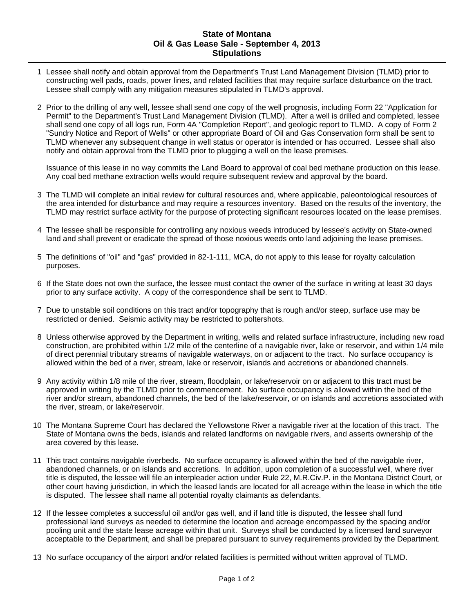## **State of Montana Oil & Gas Lease Sale - September 4, 2013 Stipulations**

- 1 Lessee shall notify and obtain approval from the Department's Trust Land Management Division (TLMD) prior to constructing well pads, roads, power lines, and related facilities that may require surface disturbance on the tract. Lessee shall comply with any mitigation measures stipulated in TLMD's approval.
- 2 Prior to the drilling of any well, lessee shall send one copy of the well prognosis, including Form 22 "Application for Permit" to the Department's Trust Land Management Division (TLMD). After a well is drilled and completed, lessee shall send one copy of all logs run, Form 4A "Completion Report", and geologic report to TLMD. A copy of Form 2 "Sundry Notice and Report of Wells" or other appropriate Board of Oil and Gas Conservation form shall be sent to TLMD whenever any subsequent change in well status or operator is intended or has occurred. Lessee shall also notify and obtain approval from the TLMD prior to plugging a well on the lease premises.

Issuance of this lease in no way commits the Land Board to approval of coal bed methane production on this lease. Any coal bed methane extraction wells would require subsequent review and approval by the board.

- 3 The TLMD will complete an initial review for cultural resources and, where applicable, paleontological resources of the area intended for disturbance and may require a resources inventory. Based on the results of the inventory, the TLMD may restrict surface activity for the purpose of protecting significant resources located on the lease premises.
- 4 The lessee shall be responsible for controlling any noxious weeds introduced by lessee's activity on State-owned land and shall prevent or eradicate the spread of those noxious weeds onto land adjoining the lease premises.
- 5 The definitions of "oil" and "gas" provided in 82-1-111, MCA, do not apply to this lease for royalty calculation purposes.
- 6 If the State does not own the surface, the lessee must contact the owner of the surface in writing at least 30 days prior to any surface activity. A copy of the correspondence shall be sent to TLMD.
- 7 Due to unstable soil conditions on this tract and/or topography that is rough and/or steep, surface use may be restricted or denied. Seismic activity may be restricted to poltershots.
- 8 Unless otherwise approved by the Department in writing, wells and related surface infrastructure, including new road construction, are prohibited within 1/2 mile of the centerline of a navigable river, lake or reservoir, and within 1/4 mile of direct perennial tributary streams of navigable waterways, on or adjacent to the tract. No surface occupancy is allowed within the bed of a river, stream, lake or reservoir, islands and accretions or abandoned channels.
- 9 Any activity within 1/8 mile of the river, stream, floodplain, or lake/reservoir on or adjacent to this tract must be approved in writing by the TLMD prior to commencement. No surface occupancy is allowed within the bed of the river and/or stream, abandoned channels, the bed of the lake/reservoir, or on islands and accretions associated with the river, stream, or lake/reservoir.
- 10 The Montana Supreme Court has declared the Yellowstone River a navigable river at the location of this tract. The State of Montana owns the beds, islands and related landforms on navigable rivers, and asserts ownership of the area covered by this lease.
- 11 This tract contains navigable riverbeds. No surface occupancy is allowed within the bed of the navigable river, abandoned channels, or on islands and accretions. In addition, upon completion of a successful well, where river title is disputed, the lessee will file an interpleader action under Rule 22, M.R.Civ.P. in the Montana District Court, or other court having jurisdiction, in which the leased lands are located for all acreage within the lease in which the title is disputed. The lessee shall name all potential royalty claimants as defendants.
- 12 If the lessee completes a successful oil and/or gas well, and if land title is disputed, the lessee shall fund professional land surveys as needed to determine the location and acreage encompassed by the spacing and/or pooling unit and the state lease acreage within that unit. Surveys shall be conducted by a licensed land surveyor acceptable to the Department, and shall be prepared pursuant to survey requirements provided by the Department.
- 13 No surface occupancy of the airport and/or related facilities is permitted without written approval of TLMD.